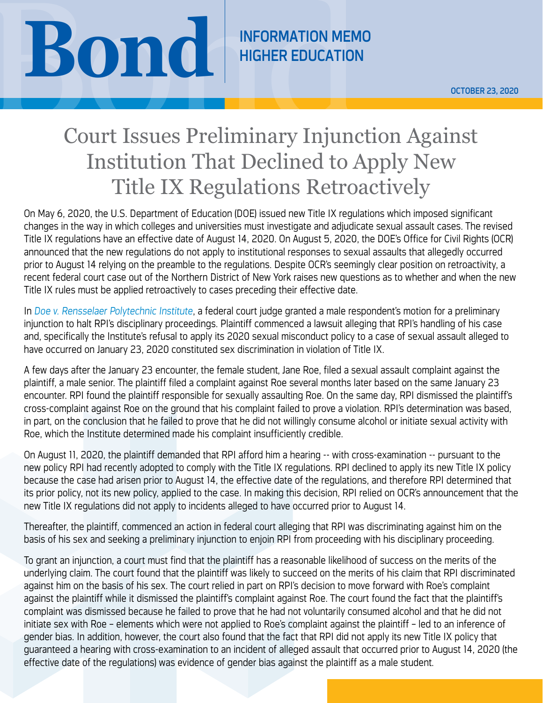## **BOND REMARK EDUCATION**

HIGHER EDUCATION

## Court Issues Preliminary Injunction Against Institution That Declined to Apply New Title IX Regulations Retroactively

On May 6, 2020, the U.S. Department of Education (DOE) issued new Title IX regulations which imposed significant changes in the way in which colleges and universities must investigate and adjudicate sexual assault cases. The revised Title IX regulations have an effective date of August 14, 2020. On August 5, 2020, the DOE's Office for Civil Rights (OCR) announced that the new regulations do not apply to institutional responses to sexual assaults that allegedly occurred prior to August 14 relying on the preamble to the regulations. Despite OCR's seemingly clear position on retroactivity, a recent federal court case out of the Northern District of New York raises new questions as to whether and when the new Title IX rules must be applied retroactively to cases preceding their effective date.

In *[Doe v. Rensselaer Polytechnic Institute](https://www.courtlistener.com/recap/gov.uscourts.nynd.125951/gov.uscourts.nynd.125951.16.0.pdf)*, a federal court judge granted a male respondent's motion for a preliminary injunction to halt RPI's disciplinary proceedings. Plaintiff commenced a lawsuit alleging that RPI's handling of his case and, specifically the Institute's refusal to apply its 2020 sexual misconduct policy to a case of sexual assault alleged to have occurred on January 23, 2020 constituted sex discrimination in violation of Title IX.

A few days after the January 23 encounter, the female student, Jane Roe, filed a sexual assault complaint against the plaintiff, a male senior. The plaintiff filed a complaint against Roe several months later based on the same January 23 encounter. RPI found the plaintiff responsible for sexually assaulting Roe. On the same day, RPI dismissed the plaintiff's cross-complaint against Roe on the ground that his complaint failed to prove a violation. RPI's determination was based, in part, on the conclusion that he failed to prove that he did not willingly consume alcohol or initiate sexual activity with Roe, which the Institute determined made his complaint insufficiently credible.

On August 11, 2020, the plaintiff demanded that RPI afford him a hearing -- with cross-examination -- pursuant to the new policy RPI had recently adopted to comply with the Title IX regulations. RPI declined to apply its new Title IX policy because the case had arisen prior to August 14, the effective date of the regulations, and therefore RPI determined that its prior policy, not its new policy, applied to the case. In making this decision, RPI relied on OCR's announcement that the new Title IX regulations did not apply to incidents alleged to have occurred prior to August 14.

Thereafter, the plaintiff, commenced an action in federal court alleging that RPI was discriminating against him on the basis of his sex and seeking a preliminary injunction to enjoin RPI from proceeding with his disciplinary proceeding.

To grant an injunction, a court must find that the plaintiff has a reasonable likelihood of success on the merits of the underlying claim. The court found that the plaintiff was likely to succeed on the merits of his claim that RPI discriminated against him on the basis of his sex. The court relied in part on RPI's decision to move forward with Roe's complaint against the plaintiff while it dismissed the plaintiff's complaint against Roe. The court found the fact that the plaintiff's complaint was dismissed because he failed to prove that he had not voluntarily consumed alcohol and that he did not initiate sex with Roe – elements which were not applied to Roe's complaint against the plaintiff – led to an inference of gender bias. In addition, however, the court also found that the fact that RPI did not apply its new Title IX policy that guaranteed a hearing with cross-examination to an incident of alleged assault that occurred prior to August 14, 2020 (the effective date of the regulations) was evidence of gender bias against the plaintiff as a male student.